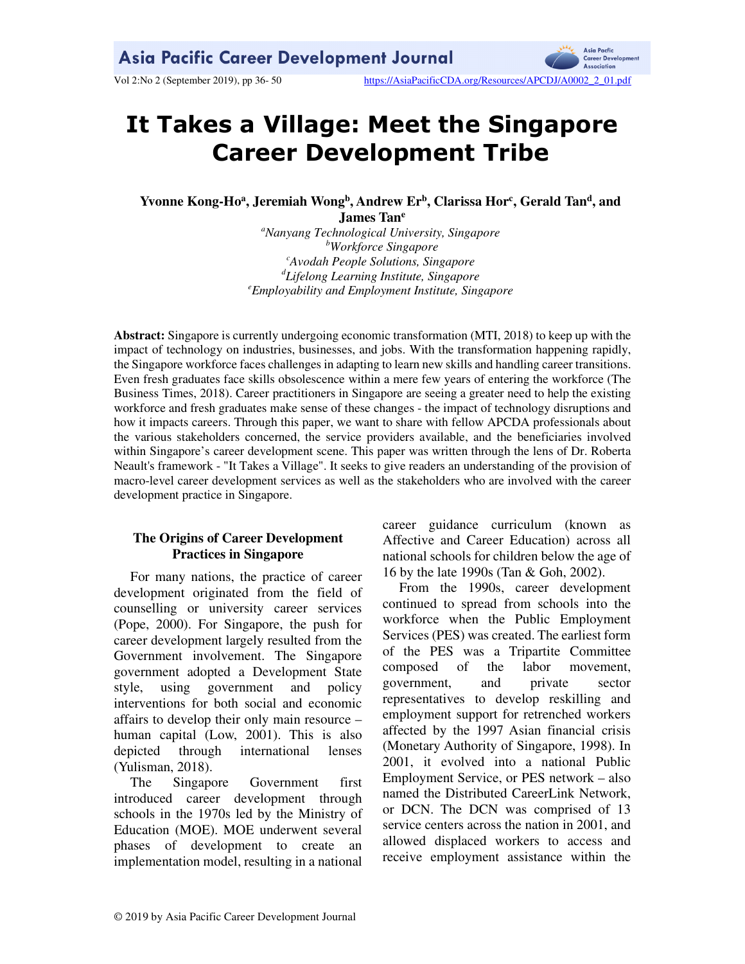**Asia Pacfic** Career Development Association

Vol 2:No 2 (September 2019), pp 36-50 https://AsiaPacificCDA.org/Resources/APCDJ/A0002\_2\_01.pdf

# **It Takes a Village: Meet the Singapore Career Development Tribe**

**Yvonne Kong-Ho<sup>a</sup> , Jeremiah Wong<sup>b</sup> , Andrew Er<sup>b</sup> , Clarissa Hor<sup>c</sup> , Gerald Tan<sup>d</sup> , and James Tan<sup>e</sup>**

> *<sup>a</sup>Nanyang Technological University, Singapore <sup>b</sup>Workforce Singapore <sup>c</sup>Avodah People Solutions, Singapore <sup>d</sup>Lifelong Learning Institute, Singapore <sup>e</sup>Employability and Employment Institute, Singapore*

**Abstract:** Singapore is currently undergoing economic transformation (MTI, 2018) to keep up with the impact of technology on industries, businesses, and jobs. With the transformation happening rapidly, the Singapore workforce faces challenges in adapting to learn new skills and handling career transitions. Even fresh graduates face skills obsolescence within a mere few years of entering the workforce (The Business Times, 2018). Career practitioners in Singapore are seeing a greater need to help the existing workforce and fresh graduates make sense of these changes - the impact of technology disruptions and how it impacts careers. Through this paper, we want to share with fellow APCDA professionals about the various stakeholders concerned, the service providers available, and the beneficiaries involved within Singapore's career development scene. This paper was written through the lens of Dr. Roberta Neault's framework - "It Takes a Village". It seeks to give readers an understanding of the provision of macro-level career development services as well as the stakeholders who are involved with the career development practice in Singapore.

# **The Origins of Career Development Practices in Singapore**

For many nations, the practice of career development originated from the field of counselling or university career services (Pope, 2000). For Singapore, the push for career development largely resulted from the Government involvement. The Singapore government adopted a Development State style, using government and policy interventions for both social and economic affairs to develop their only main resource – human capital (Low, 2001). This is also depicted through international lenses (Yulisman, 2018).

The Singapore Government first introduced career development through schools in the 1970s led by the Ministry of Education (MOE). MOE underwent several phases of development to create an implementation model, resulting in a national career guidance curriculum (known as Affective and Career Education) across all national schools for children below the age of 16 by the late 1990s (Tan & Goh, 2002).

From the 1990s, career development continued to spread from schools into the workforce when the Public Employment Services (PES) was created. The earliest form of the PES was a Tripartite Committee composed of the labor movement, government, and private sector representatives to develop reskilling and employment support for retrenched workers affected by the 1997 Asian financial crisis (Monetary Authority of Singapore, 1998). In 2001, it evolved into a national Public Employment Service, or PES network – also named the Distributed CareerLink Network, or DCN. The DCN was comprised of 13 service centers across the nation in 2001, and allowed displaced workers to access and receive employment assistance within the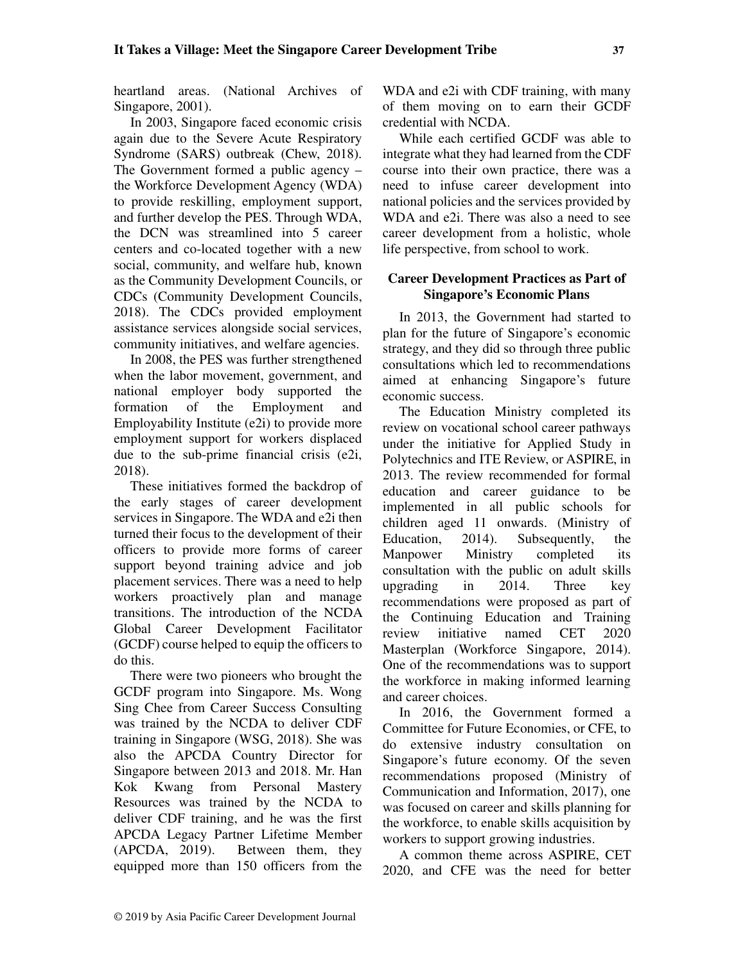heartland areas. (National Archives of Singapore, 2001).

In 2003, Singapore faced economic crisis again due to the Severe Acute Respiratory Syndrome (SARS) outbreak (Chew, 2018). The Government formed a public agency – the Workforce Development Agency (WDA) to provide reskilling, employment support, and further develop the PES. Through WDA, the DCN was streamlined into 5 career centers and co-located together with a new social, community, and welfare hub, known as the Community Development Councils, or CDCs (Community Development Councils, 2018). The CDCs provided employment assistance services alongside social services, community initiatives, and welfare agencies.

In 2008, the PES was further strengthened when the labor movement, government, and national employer body supported the formation of the Employment and Employability Institute (e2i) to provide more employment support for workers displaced due to the sub-prime financial crisis (e2i, 2018).

These initiatives formed the backdrop of the early stages of career development services in Singapore. The WDA and e2i then turned their focus to the development of their officers to provide more forms of career support beyond training advice and job placement services. There was a need to help workers proactively plan and manage transitions. The introduction of the NCDA Global Career Development Facilitator (GCDF) course helped to equip the officers to do this.

There were two pioneers who brought the GCDF program into Singapore. Ms. Wong Sing Chee from Career Success Consulting was trained by the NCDA to deliver CDF training in Singapore (WSG, 2018). She was also the APCDA Country Director for Singapore between 2013 and 2018. Mr. Han Kok Kwang from Personal Mastery Resources was trained by the NCDA to deliver CDF training, and he was the first APCDA Legacy Partner Lifetime Member (APCDA, 2019). Between them, they equipped more than 150 officers from the

WDA and e2i with CDF training, with many of them moving on to earn their GCDF credential with NCDA.

While each certified GCDF was able to integrate what they had learned from the CDF course into their own practice, there was a need to infuse career development into national policies and the services provided by WDA and e2i. There was also a need to see career development from a holistic, whole life perspective, from school to work.

# **Career Development Practices as Part of Singapore's Economic Plans**

In 2013, the Government had started to plan for the future of Singapore's economic strategy, and they did so through three public consultations which led to recommendations aimed at enhancing Singapore's future economic success.

The Education Ministry completed its review on vocational school career pathways under the initiative for Applied Study in Polytechnics and ITE Review, or ASPIRE, in 2013. The review recommended for formal education and career guidance to be implemented in all public schools for children aged 11 onwards. (Ministry of Education, 2014). Subsequently, the Manpower Ministry completed its consultation with the public on adult skills upgrading in 2014. Three key recommendations were proposed as part of the Continuing Education and Training review initiative named CET 2020 Masterplan (Workforce Singapore, 2014). One of the recommendations was to support the workforce in making informed learning and career choices.

In 2016, the Government formed a Committee for Future Economies, or CFE, to do extensive industry consultation on Singapore's future economy. Of the seven recommendations proposed (Ministry of Communication and Information, 2017), one was focused on career and skills planning for the workforce, to enable skills acquisition by workers to support growing industries.

A common theme across ASPIRE, CET 2020, and CFE was the need for better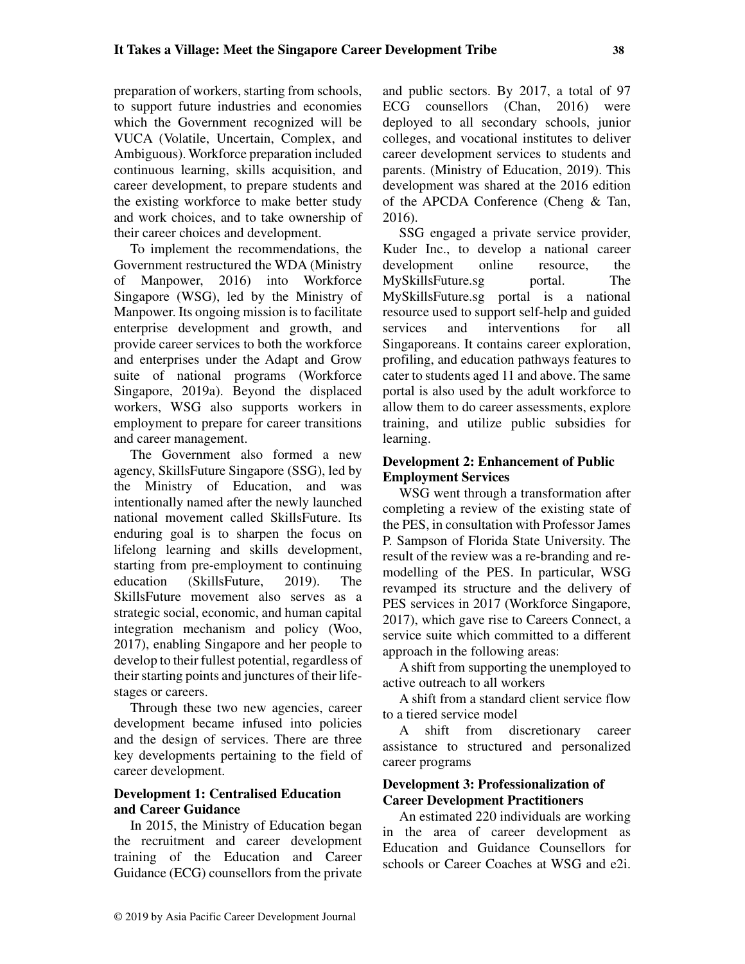preparation of workers, starting from schools, to support future industries and economies which the Government recognized will be VUCA (Volatile, Uncertain, Complex, and Ambiguous). Workforce preparation included continuous learning, skills acquisition, and career development, to prepare students and the existing workforce to make better study and work choices, and to take ownership of their career choices and development.

To implement the recommendations, the Government restructured the WDA (Ministry of Manpower, 2016) into Workforce Singapore (WSG), led by the Ministry of Manpower. Its ongoing mission is to facilitate enterprise development and growth, and provide career services to both the workforce and enterprises under the Adapt and Grow suite of national programs (Workforce Singapore, 2019a). Beyond the displaced workers, WSG also supports workers in employment to prepare for career transitions and career management.

The Government also formed a new agency, SkillsFuture Singapore (SSG), led by the Ministry of Education, and was intentionally named after the newly launched national movement called SkillsFuture. Its enduring goal is to sharpen the focus on lifelong learning and skills development, starting from pre-employment to continuing education (SkillsFuture, 2019). The SkillsFuture movement also serves as a strategic social, economic, and human capital integration mechanism and policy (Woo, 2017), enabling Singapore and her people to develop to their fullest potential, regardless of their starting points and junctures of their lifestages or careers.

Through these two new agencies, career development became infused into policies and the design of services. There are three key developments pertaining to the field of career development.

# **Development 1: Centralised Education and Career Guidance**

In 2015, the Ministry of Education began the recruitment and career development training of the Education and Career Guidance (ECG) counsellors from the private and public sectors. By 2017, a total of 97 ECG counsellors (Chan, 2016) were deployed to all secondary schools, junior colleges, and vocational institutes to deliver career development services to students and parents. (Ministry of Education, 2019). This development was shared at the 2016 edition of the APCDA Conference (Cheng & Tan, 2016).

SSG engaged a private service provider, Kuder Inc., to develop a national career development online resource, the MySkillsFuture.sg portal. The MySkillsFuture.sg portal is a national resource used to support self-help and guided services and interventions for all Singaporeans. It contains career exploration, profiling, and education pathways features to cater to students aged 11 and above. The same portal is also used by the adult workforce to allow them to do career assessments, explore training, and utilize public subsidies for learning.

# **Development 2: Enhancement of Public Employment Services**

WSG went through a transformation after completing a review of the existing state of the PES, in consultation with Professor James P. Sampson of Florida State University. The result of the review was a re-branding and remodelling of the PES. In particular, WSG revamped its structure and the delivery of PES services in 2017 (Workforce Singapore, 2017), which gave rise to Careers Connect, a service suite which committed to a different approach in the following areas:

A shift from supporting the unemployed to active outreach to all workers

A shift from a standard client service flow to a tiered service model

A shift from discretionary career assistance to structured and personalized career programs

# **Development 3: Professionalization of Career Development Practitioners**

An estimated 220 individuals are working in the area of career development as Education and Guidance Counsellors for schools or Career Coaches at WSG and e2i.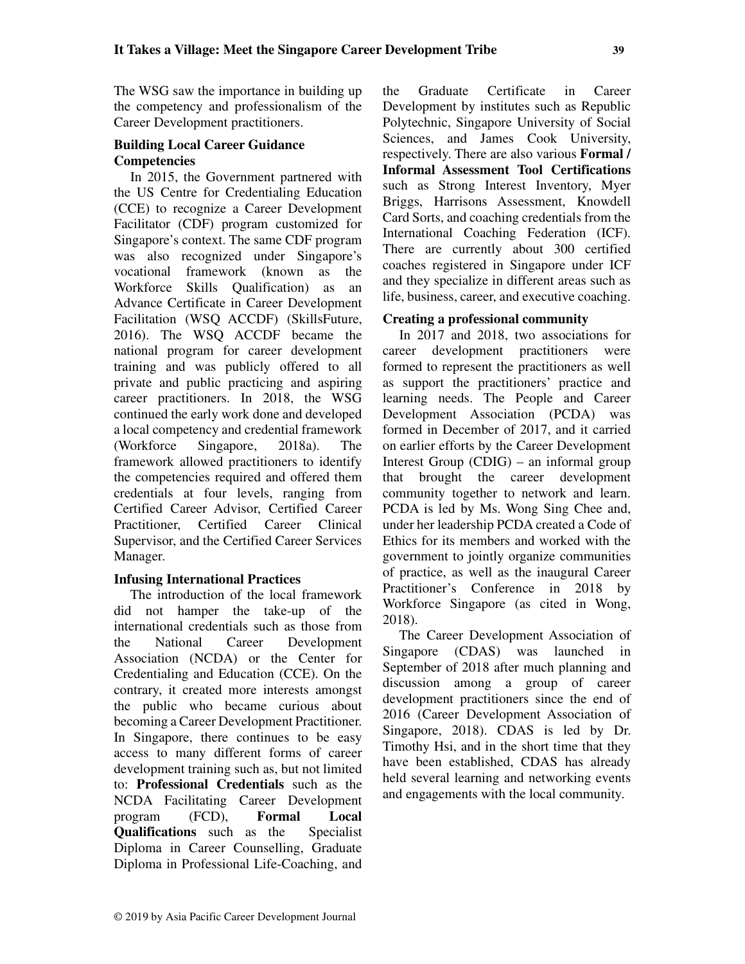The WSG saw the importance in building up the competency and professionalism of the Career Development practitioners.

# **Building Local Career Guidance Competencies**

In 2015, the Government partnered with the US Centre for Credentialing Education (CCE) to recognize a Career Development Facilitator (CDF) program customized for Singapore's context. The same CDF program was also recognized under Singapore's vocational framework (known as the Workforce Skills Qualification) as an Advance Certificate in Career Development Facilitation (WSQ ACCDF) (SkillsFuture, 2016). The WSQ ACCDF became the national program for career development training and was publicly offered to all private and public practicing and aspiring career practitioners. In 2018, the WSG continued the early work done and developed a local competency and credential framework (Workforce Singapore, 2018a). The framework allowed practitioners to identify the competencies required and offered them credentials at four levels, ranging from Certified Career Advisor, Certified Career Practitioner, Certified Career Clinical Supervisor, and the Certified Career Services Manager.

# **Infusing International Practices**

The introduction of the local framework did not hamper the take-up of the international credentials such as those from the National Career Development Association (NCDA) or the Center for Credentialing and Education (CCE). On the contrary, it created more interests amongst the public who became curious about becoming a Career Development Practitioner. In Singapore, there continues to be easy access to many different forms of career development training such as, but not limited to: **Professional Credentials** such as the NCDA Facilitating Career Development program (FCD), **Formal Local Qualifications** such as the Specialist Diploma in Career Counselling, Graduate Diploma in Professional Life-Coaching, and the Graduate Certificate in Career Development by institutes such as Republic Polytechnic, Singapore University of Social Sciences, and James Cook University, respectively. There are also various **Formal / Informal Assessment Tool Certifications** such as Strong Interest Inventory, Myer Briggs, Harrisons Assessment, Knowdell Card Sorts, and coaching credentials from the International Coaching Federation (ICF). There are currently about 300 certified coaches registered in Singapore under ICF and they specialize in different areas such as life, business, career, and executive coaching.

# **Creating a professional community**

In 2017 and 2018, two associations for career development practitioners were formed to represent the practitioners as well as support the practitioners' practice and learning needs. The People and Career Development Association (PCDA) was formed in December of 2017, and it carried on earlier efforts by the Career Development Interest Group (CDIG) – an informal group that brought the career development community together to network and learn. PCDA is led by Ms. Wong Sing Chee and, under her leadership PCDA created a Code of Ethics for its members and worked with the government to jointly organize communities of practice, as well as the inaugural Career Practitioner's Conference in 2018 by Workforce Singapore (as cited in Wong, 2018).

The Career Development Association of Singapore (CDAS) was launched in September of 2018 after much planning and discussion among a group of career development practitioners since the end of 2016 (Career Development Association of Singapore, 2018). CDAS is led by Dr. Timothy Hsi, and in the short time that they have been established, CDAS has already held several learning and networking events and engagements with the local community.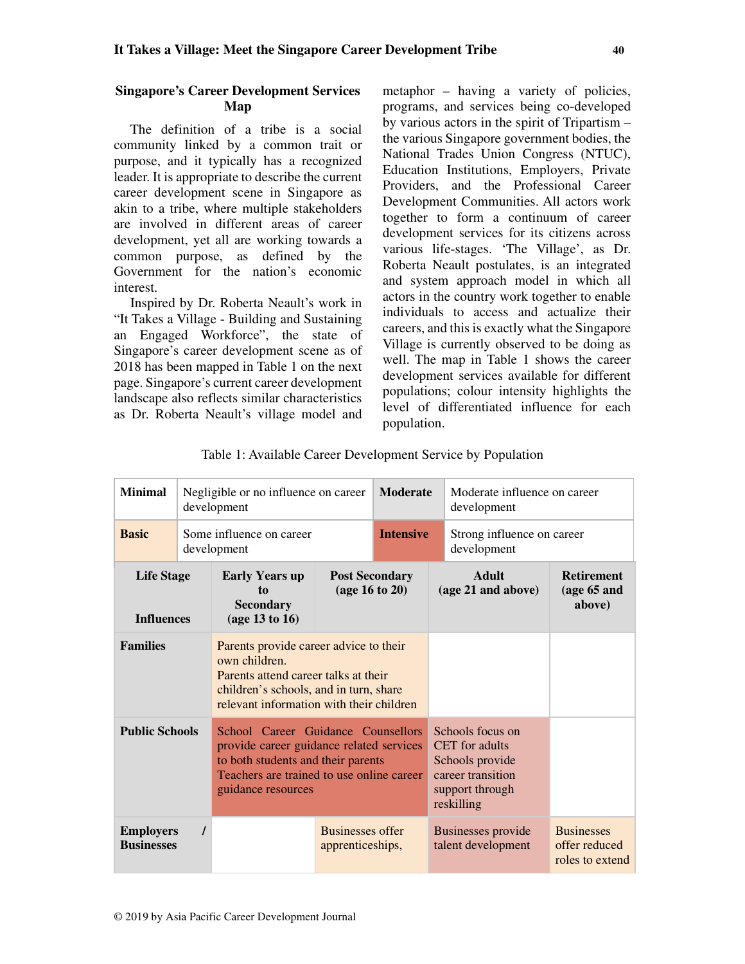### **Singapore's Career Development Services Map**

The definition of a tribe is a social community linked by a common trait or purpose, and it typically has a recognized leader. It is appropriate to describe the current career development scene in Singapore as akin to a tribe, where multiple stakeholders are involved in different areas of career development, yet all are working towards a common purpose, as defined by the Government for the nation's economic interest.

Inspired by Dr. Roberta Neault's work in "It Takes a Village - Building and Sustaining an Engaged Workforce", the state of Singapore's career development scene as of 2018 has been mapped in Table 1 on the next page. Singapore's current career development landscape also reflects similar characteristics as Dr. Roberta Neault's village model and metaphor – having a variety of policies, programs, and services being co-developed by various actors in the spirit of Tripartism – the various Singapore government bodies, the National Trades Union Congress (NTUC), Education Institutions, Employers, Private Providers, and the Professional Career Development Communities. All actors work together to form a continuum of career development services for its citizens across various life-stages. 'The Village', as Dr. Roberta Neault postulates, is an integrated and system approach model in which all actors in the country work together to enable individuals to access and actualize their careers, and this is exactly what the Singapore Village is currently observed to be doing as well. The map in Table 1 shows the career development services available for different populations; colour intensity highlights the level of differentiated influence for each population.

| <b>Minimal</b>                         | Negligible or no influence on career<br>development |                                                                                                                                                                                         |                                             | <b>Moderate</b> | Moderate influence on career<br>development |                                                                                                             |                                                       |
|----------------------------------------|-----------------------------------------------------|-----------------------------------------------------------------------------------------------------------------------------------------------------------------------------------------|---------------------------------------------|-----------------|---------------------------------------------|-------------------------------------------------------------------------------------------------------------|-------------------------------------------------------|
| <b>Basic</b>                           |                                                     | Some influence on career<br>development                                                                                                                                                 | <b>Intensive</b>                            |                 | Strong influence on career<br>development   |                                                                                                             |                                                       |
| <b>Life Stage</b><br><b>Influences</b> |                                                     | <b>Early Years up</b><br>to<br><b>Secondary</b><br>(age 13 to 16)                                                                                                                       | <b>Post Secondary</b><br>(age 16 to 20)     |                 |                                             | <b>Adult</b><br>(age 21 and above)                                                                          | <b>Retirement</b><br>(age 65 and<br>above)            |
| <b>Families</b>                        |                                                     | Parents provide career advice to their<br>own children.<br>Parents attend career talks at their<br>children's schools, and in turn, share<br>relevant information with their children   |                                             |                 |                                             |                                                                                                             |                                                       |
| <b>Public Schools</b>                  |                                                     | School Career Guidance Counsellors<br>provide career guidance related services<br>to both students and their parents<br>Teachers are trained to use online career<br>guidance resources |                                             |                 |                                             | Schools focus on<br>CET for adults<br>Schools provide<br>career transition<br>support through<br>reskilling |                                                       |
| <b>Employers</b><br><b>Businesses</b>  |                                                     |                                                                                                                                                                                         | <b>Businesses offer</b><br>apprenticeships, |                 |                                             | Businesses provide<br>talent development                                                                    | <b>Businesses</b><br>offer reduced<br>roles to extend |

|  |  | Table 1: Available Career Development Service by Population |
|--|--|-------------------------------------------------------------|
|  |  |                                                             |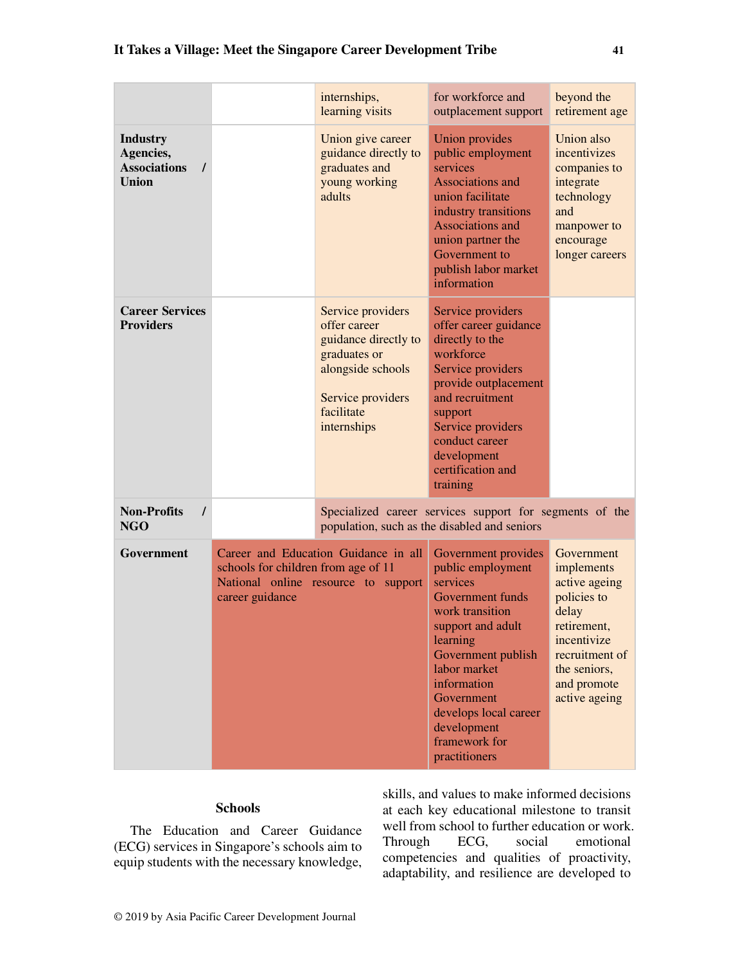|                                                                     |                                                                                                                                       | internships,<br>learning visits                                                                                                                  | for workforce and<br>outplacement support                                                                                                                                                                                                                                 | beyond the<br>retirement age                                                                                                                                      |
|---------------------------------------------------------------------|---------------------------------------------------------------------------------------------------------------------------------------|--------------------------------------------------------------------------------------------------------------------------------------------------|---------------------------------------------------------------------------------------------------------------------------------------------------------------------------------------------------------------------------------------------------------------------------|-------------------------------------------------------------------------------------------------------------------------------------------------------------------|
| <b>Industry</b><br>Agencies,<br><b>Associations</b><br><b>Union</b> |                                                                                                                                       | Union give career<br>guidance directly to<br>graduates and<br>young working<br>adults                                                            | Union provides<br>public employment<br>services<br>Associations and<br>union facilitate<br>industry transitions<br><b>Associations and</b><br>union partner the<br>Government to<br>publish labor market<br>information                                                   | Union also<br>incentivizes<br>companies to<br>integrate<br>technology<br>and<br>manpower to<br>encourage<br>longer careers                                        |
| <b>Career Services</b><br><b>Providers</b>                          |                                                                                                                                       | Service providers<br>offer career<br>guidance directly to<br>graduates or<br>alongside schools<br>Service providers<br>facilitate<br>internships | Service providers<br>offer career guidance<br>directly to the<br>workforce<br>Service providers<br>provide outplacement<br>and recruitment<br>support<br>Service providers<br>conduct career<br>development<br>certification and<br>training                              |                                                                                                                                                                   |
| <b>Non-Profits</b><br>$\prime$<br><b>NGO</b>                        |                                                                                                                                       |                                                                                                                                                  | Specialized career services support for segments of the<br>population, such as the disabled and seniors                                                                                                                                                                   |                                                                                                                                                                   |
| Government                                                          | Career and Education Guidance in all<br>schools for children from age of 11<br>National online resource to support<br>career guidance |                                                                                                                                                  | Government provides<br>public employment<br>services<br>Government funds<br>work transition<br>support and adult<br>learning<br>Government publish<br>labor market<br>information<br>Government<br>develops local career<br>development<br>framework for<br>practitioners | Government<br>implements<br>active ageing<br>policies to<br>delay<br>retirement,<br>incentivize<br>recruitment of<br>the seniors,<br>and promote<br>active ageing |

# **Schools**

The Education and Career Guidance (ECG) services in Singapore's schools aim to equip students with the necessary knowledge,

skills, and values to make informed decisions at each key educational milestone to transit well from school to further education or work. Through ECG, social emotional competencies and qualities of proactivity, adaptability, and resilience are developed to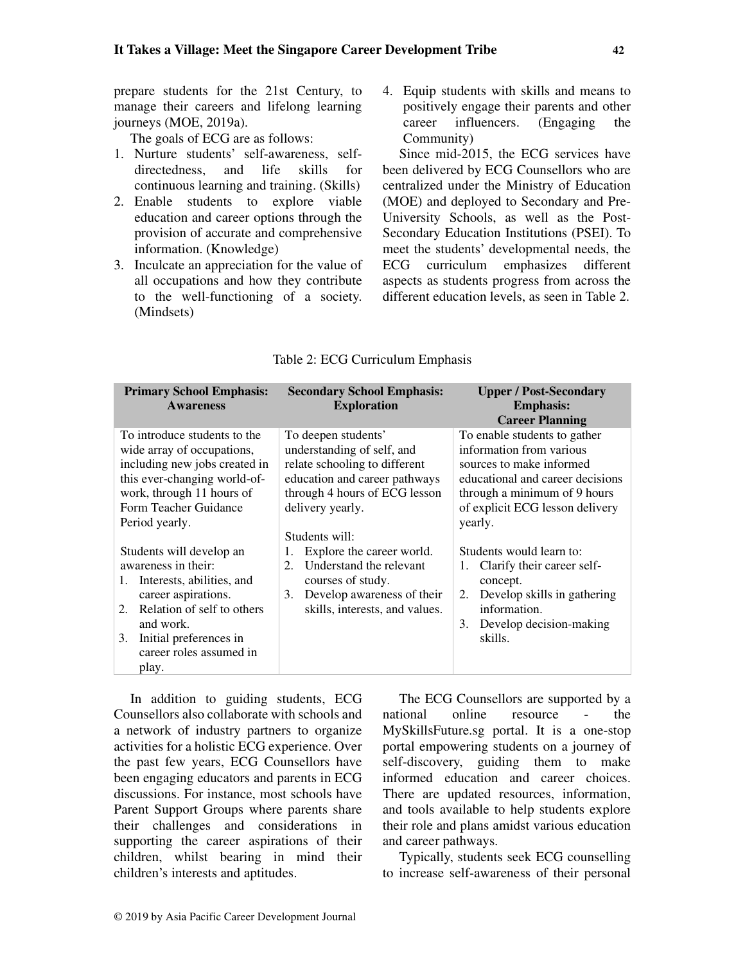prepare students for the 21st Century, to manage their careers and lifelong learning journeys (MOE, 2019a).

The goals of ECG are as follows:

- 1. Nurture students' self-awareness, selfdirectedness, and life skills for continuous learning and training. (Skills)
- 2. Enable students to explore viable education and career options through the provision of accurate and comprehensive information. (Knowledge)
- 3. Inculcate an appreciation for the value of all occupations and how they contribute to the well-functioning of a society. (Mindsets)

4. Equip students with skills and means to positively engage their parents and other career influencers. (Engaging the Community)

Since mid-2015, the ECG services have been delivered by ECG Counsellors who are centralized under the Ministry of Education (MOE) and deployed to Secondary and Pre-University Schools, as well as the Post-Secondary Education Institutions (PSEI). To meet the students' developmental needs, the ECG curriculum emphasizes different aspects as students progress from across the different education levels, as seen in Table 2.

| <b>Primary School Emphasis:</b>                                                                                                                                                                                                 | <b>Secondary School Emphasis:</b>                                                                                                                                                                                       | <b>Upper / Post-Secondary</b>                                                                                                                                                                                                      |  |  |
|---------------------------------------------------------------------------------------------------------------------------------------------------------------------------------------------------------------------------------|-------------------------------------------------------------------------------------------------------------------------------------------------------------------------------------------------------------------------|------------------------------------------------------------------------------------------------------------------------------------------------------------------------------------------------------------------------------------|--|--|
| <b>Awareness</b>                                                                                                                                                                                                                | <b>Exploration</b>                                                                                                                                                                                                      | <b>Emphasis:</b><br><b>Career Planning</b>                                                                                                                                                                                         |  |  |
| To introduce students to the<br>wide array of occupations,<br>including new jobs created in<br>this ever-changing world-of-<br>work, through 11 hours of<br>Form Teacher Guidance<br>Period yearly.<br>Students will develop an | To deepen students'<br>understanding of self, and<br>relate schooling to different<br>education and career pathways<br>through 4 hours of ECG lesson<br>delivery yearly.<br>Students will:<br>Explore the career world. | To enable students to gather<br>information from various<br>sources to make informed<br>educational and career decisions<br>through a minimum of 9 hours<br>of explicit ECG lesson delivery<br>yearly.<br>Students would learn to: |  |  |
| awareness in their:<br>Interests, abilities, and<br>1.<br>career aspirations.<br>2. Relation of self to others<br>and work.<br>Initial preferences in<br>3.<br>career roles assumed in<br>play.                                 | Understand the relevant<br>2.<br>courses of study.<br>Develop awareness of their<br>3.<br>skills, interests, and values.                                                                                                | Clarify their career self-<br>1.<br>concept.<br>Develop skills in gathering<br>2.<br>information.<br>Develop decision-making<br>3.<br>skills.                                                                                      |  |  |

## Table 2: ECG Curriculum Emphasis

In addition to guiding students, ECG Counsellors also collaborate with schools and a network of industry partners to organize activities for a holistic ECG experience. Over the past few years, ECG Counsellors have been engaging educators and parents in ECG discussions. For instance, most schools have Parent Support Groups where parents share their challenges and considerations in supporting the career aspirations of their children, whilst bearing in mind their children's interests and aptitudes.

The ECG Counsellors are supported by a national online resource - the MySkillsFuture.sg portal. It is a one-stop portal empowering students on a journey of self-discovery, guiding them to make informed education and career choices. There are updated resources, information, and tools available to help students explore their role and plans amidst various education and career pathways.

Typically, students seek ECG counselling to increase self-awareness of their personal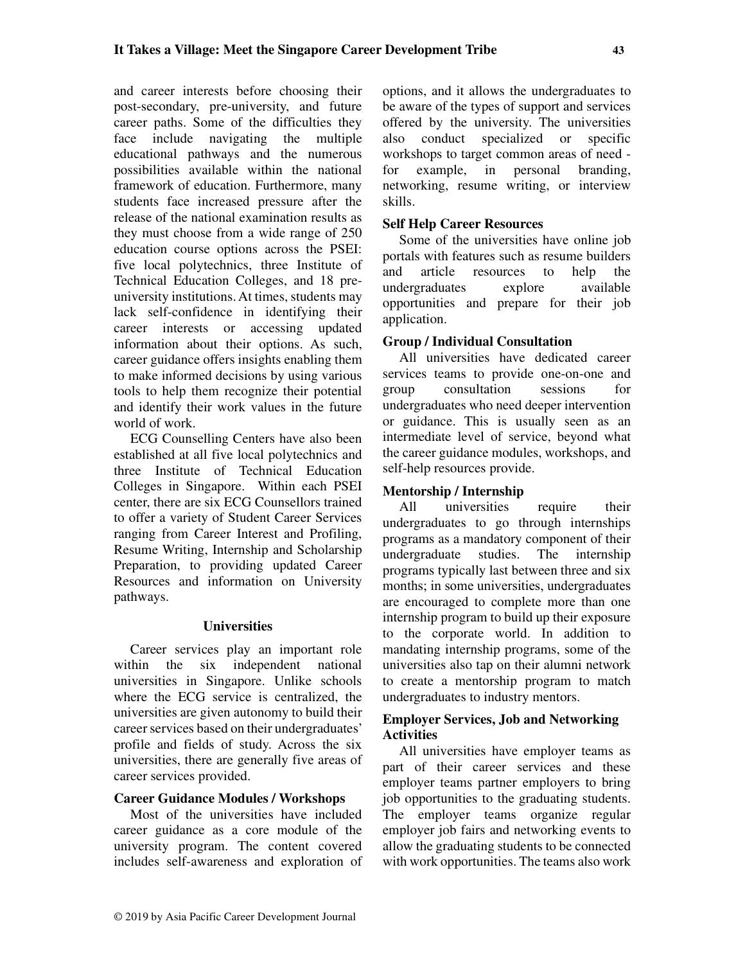and career interests before choosing their post-secondary, pre-university, and future career paths. Some of the difficulties they face include navigating the multiple educational pathways and the numerous possibilities available within the national framework of education. Furthermore, many students face increased pressure after the release of the national examination results as they must choose from a wide range of 250 education course options across the PSEI: five local polytechnics, three Institute of Technical Education Colleges, and 18 preuniversity institutions. At times, students may lack self-confidence in identifying their career interests or accessing updated information about their options. As such, career guidance offers insights enabling them to make informed decisions by using various tools to help them recognize their potential and identify their work values in the future world of work.

ECG Counselling Centers have also been established at all five local polytechnics and three Institute of Technical Education Colleges in Singapore. Within each PSEI center, there are six ECG Counsellors trained to offer a variety of Student Career Services ranging from Career Interest and Profiling, Resume Writing, Internship and Scholarship Preparation, to providing updated Career Resources and information on University pathways.

# **Universities**

Career services play an important role within the six independent national universities in Singapore. Unlike schools where the ECG service is centralized, the universities are given autonomy to build their career services based on their undergraduates' profile and fields of study. Across the six universities, there are generally five areas of career services provided.

## **Career Guidance Modules / Workshops**

Most of the universities have included career guidance as a core module of the university program. The content covered includes self-awareness and exploration of options, and it allows the undergraduates to be aware of the types of support and services offered by the university. The universities also conduct specialized or specific workshops to target common areas of need for example, in personal branding, networking, resume writing, or interview skills.

# **Self Help Career Resources**

Some of the universities have online job portals with features such as resume builders and article resources to help the undergraduates explore available opportunities and prepare for their job application.

# **Group / Individual Consultation**

All universities have dedicated career services teams to provide one-on-one and group consultation sessions for undergraduates who need deeper intervention or guidance. This is usually seen as an intermediate level of service, beyond what the career guidance modules, workshops, and self-help resources provide.

# **Mentorship / Internship**

All universities require their undergraduates to go through internships programs as a mandatory component of their undergraduate studies. The internship programs typically last between three and six months; in some universities, undergraduates are encouraged to complete more than one internship program to build up their exposure to the corporate world. In addition to mandating internship programs, some of the universities also tap on their alumni network to create a mentorship program to match undergraduates to industry mentors.

# **Employer Services, Job and Networking Activities**

All universities have employer teams as part of their career services and these employer teams partner employers to bring job opportunities to the graduating students. The employer teams organize regular employer job fairs and networking events to allow the graduating students to be connected with work opportunities. The teams also work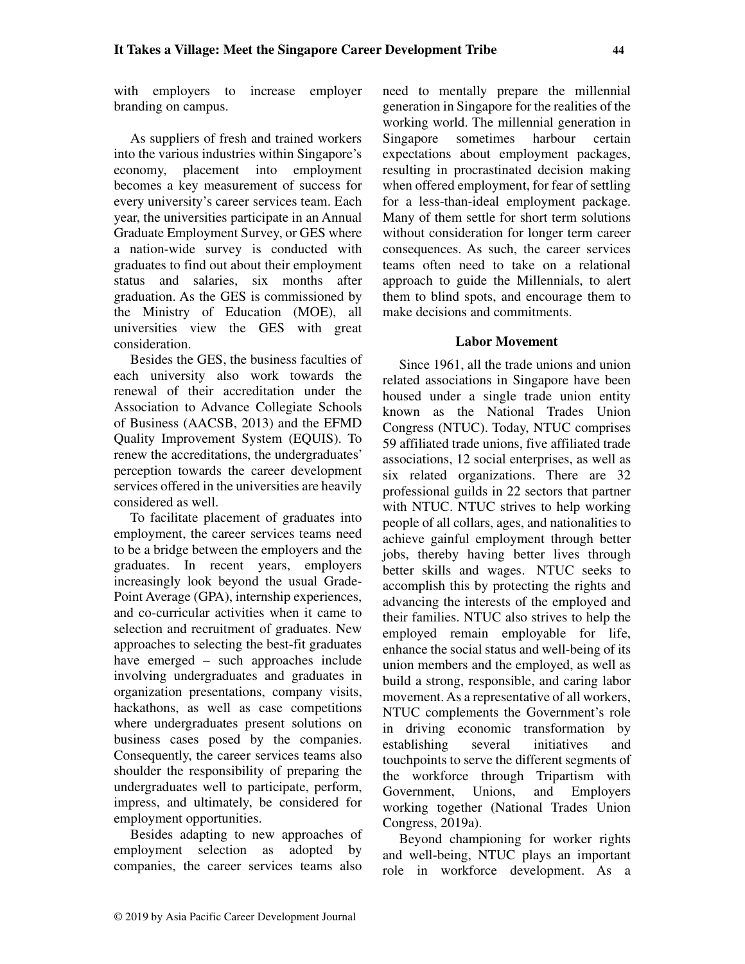with employers to increase employer branding on campus.

As suppliers of fresh and trained workers into the various industries within Singapore's economy, placement into employment becomes a key measurement of success for every university's career services team. Each year, the universities participate in an Annual Graduate Employment Survey, or GES where a nation-wide survey is conducted with graduates to find out about their employment status and salaries, six months after graduation. As the GES is commissioned by the Ministry of Education (MOE), all universities view the GES with great consideration.

Besides the GES, the business faculties of each university also work towards the renewal of their accreditation under the Association to Advance Collegiate Schools of Business (AACSB, 2013) and the EFMD Quality Improvement System (EQUIS). To renew the accreditations, the undergraduates' perception towards the career development services offered in the universities are heavily considered as well.

To facilitate placement of graduates into employment, the career services teams need to be a bridge between the employers and the graduates. In recent years, employers increasingly look beyond the usual Grade-Point Average (GPA), internship experiences, and co-curricular activities when it came to selection and recruitment of graduates. New approaches to selecting the best-fit graduates have emerged – such approaches include involving undergraduates and graduates in organization presentations, company visits, hackathons, as well as case competitions where undergraduates present solutions on business cases posed by the companies. Consequently, the career services teams also shoulder the responsibility of preparing the undergraduates well to participate, perform, impress, and ultimately, be considered for employment opportunities.

Besides adapting to new approaches of employment selection as adopted by companies, the career services teams also need to mentally prepare the millennial generation in Singapore for the realities of the working world. The millennial generation in Singapore sometimes harbour certain expectations about employment packages, resulting in procrastinated decision making when offered employment, for fear of settling for a less-than-ideal employment package. Many of them settle for short term solutions without consideration for longer term career consequences. As such, the career services teams often need to take on a relational approach to guide the Millennials, to alert them to blind spots, and encourage them to make decisions and commitments.

# **Labor Movement**

Since 1961, all the trade unions and union related associations in Singapore have been housed under a single trade union entity known as the National Trades Union Congress (NTUC). Today, NTUC comprises 59 affiliated trade unions, five affiliated trade associations, 12 social enterprises, as well as six related organizations. There are 32 professional guilds in 22 sectors that partner with NTUC. NTUC strives to help working people of all collars, ages, and nationalities to achieve gainful employment through better jobs, thereby having better lives through better skills and wages. NTUC seeks to accomplish this by protecting the rights and advancing the interests of the employed and their families. NTUC also strives to help the employed remain employable for life, enhance the social status and well-being of its union members and the employed, as well as build a strong, responsible, and caring labor movement. As a representative of all workers, NTUC complements the Government's role in driving economic transformation by establishing several initiatives and touchpoints to serve the different segments of the workforce through Tripartism with Government, Unions, and Employers working together (National Trades Union Congress, 2019a).

Beyond championing for worker rights and well-being, NTUC plays an important role in workforce development. As a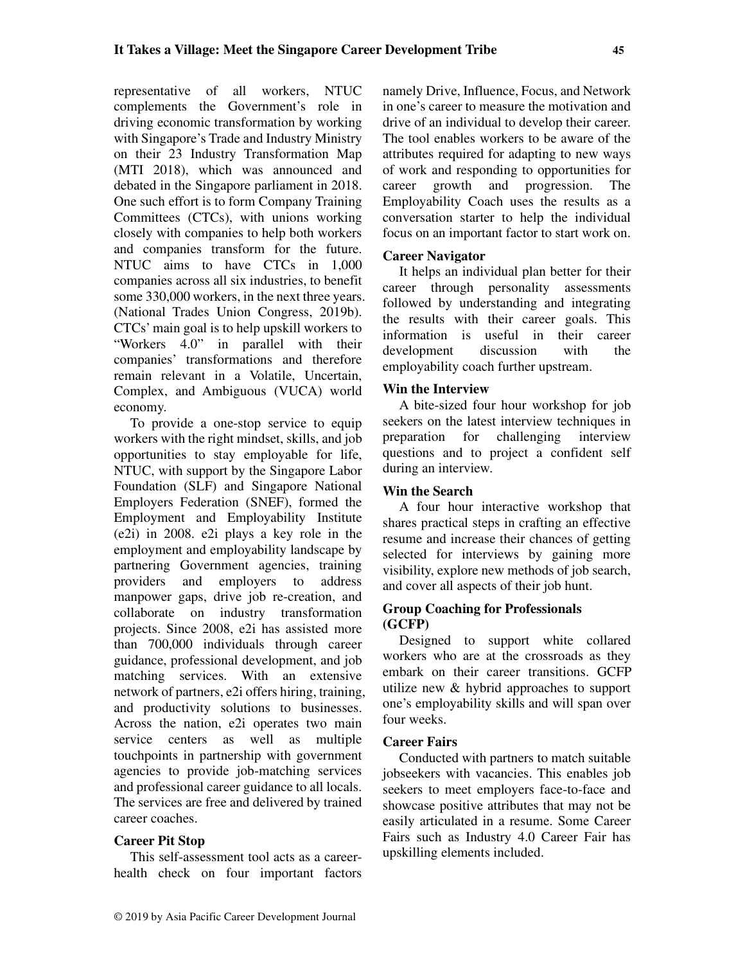representative of all workers, NTUC complements the Government's role in driving economic transformation by working with Singapore's Trade and Industry Ministry on their 23 Industry Transformation Map (MTI 2018), which was announced and debated in the Singapore parliament in 2018. One such effort is to form Company Training Committees (CTCs), with unions working closely with companies to help both workers and companies transform for the future. NTUC aims to have CTCs in 1,000 companies across all six industries, to benefit some 330,000 workers, in the next three years. (National Trades Union Congress, 2019b). CTCs' main goal is to help upskill workers to "Workers 4.0" in parallel with their companies' transformations and therefore remain relevant in a Volatile, Uncertain, Complex, and Ambiguous (VUCA) world economy.

To provide a one-stop service to equip workers with the right mindset, skills, and job opportunities to stay employable for life, NTUC, with support by the Singapore Labor Foundation (SLF) and Singapore National Employers Federation (SNEF), formed the Employment and Employability Institute (e2i) in 2008. e2i plays a key role in the employment and employability landscape by partnering Government agencies, training providers and employers to address manpower gaps, drive job re-creation, and collaborate on industry transformation projects. Since 2008, e2i has assisted more than 700,000 individuals through career guidance, professional development, and job matching services. With an extensive network of partners, e2i offers hiring, training, and productivity solutions to businesses. Across the nation, e2i operates two main service centers as well as multiple touchpoints in partnership with government agencies to provide job-matching services and professional career guidance to all locals. The services are free and delivered by trained career coaches.

## **Career Pit Stop**

This self-assessment tool acts as a careerhealth check on four important factors namely Drive, Influence, Focus, and Network in one's career to measure the motivation and drive of an individual to develop their career. The tool enables workers to be aware of the attributes required for adapting to new ways of work and responding to opportunities for career growth and progression. The Employability Coach uses the results as a conversation starter to help the individual focus on an important factor to start work on.

## **Career Navigator**

It helps an individual plan better for their career through personality assessments followed by understanding and integrating the results with their career goals. This information is useful in their career development discussion with the employability coach further upstream.

## **Win the Interview**

A bite-sized four hour workshop for job seekers on the latest interview techniques in preparation for challenging interview questions and to project a confident self during an interview.

## **Win the Search**

A four hour interactive workshop that shares practical steps in crafting an effective resume and increase their chances of getting selected for interviews by gaining more visibility, explore new methods of job search, and cover all aspects of their job hunt.

#### **Group Coaching for Professionals (GCFP)**

Designed to support white collared workers who are at the crossroads as they embark on their career transitions. GCFP utilize new & hybrid approaches to support one's employability skills and will span over four weeks.

## **Career Fairs**

Conducted with partners to match suitable jobseekers with vacancies. This enables job seekers to meet employers face-to-face and showcase positive attributes that may not be easily articulated in a resume. Some Career Fairs such as Industry 4.0 Career Fair has upskilling elements included.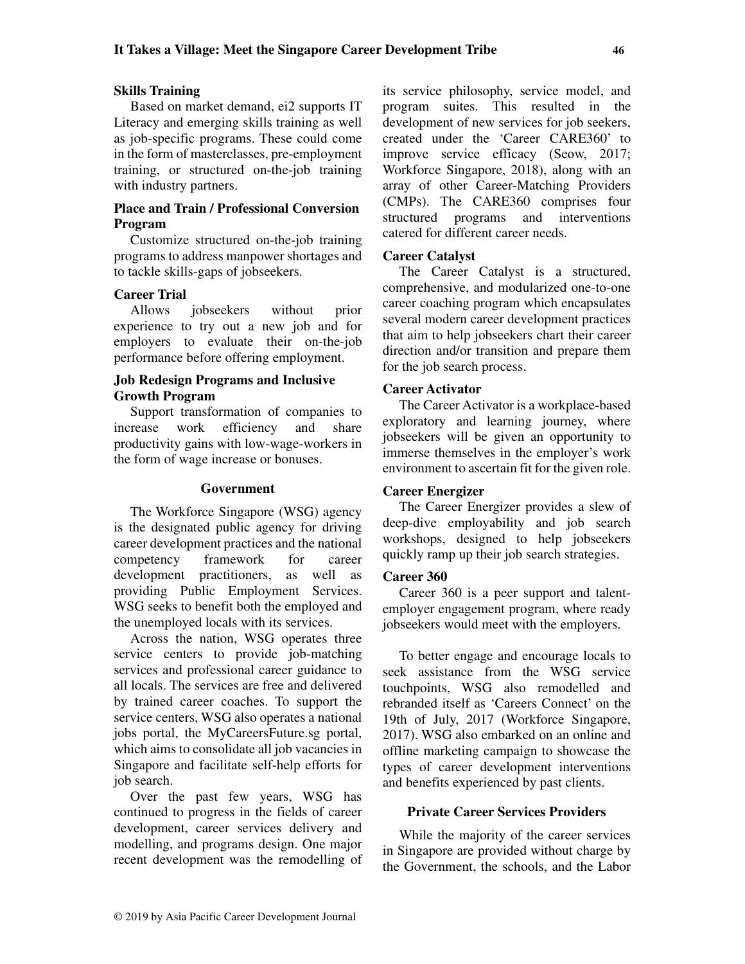## **Skills Training**

Based on market demand, ei2 supports IT Literacy and emerging skills training as well as job-specific programs. These could come in the form of masterclasses, pre-employment training, or structured on-the-job training with industry partners.

# **Place and Train / Professional Conversion Program**

Customize structured on-the-job training programs to address manpower shortages and to tackle skills-gaps of jobseekers.

# **Career Trial**

Allows jobseekers without prior experience to try out a new job and for employers to evaluate their on-the-job performance before offering employment.

# **Job Redesign Programs and Inclusive Growth Program**

Support transformation of companies to increase work efficiency and share productivity gains with low-wage-workers in the form of wage increase or bonuses.

### **Government**

The Workforce Singapore (WSG) agency is the designated public agency for driving career development practices and the national competency framework for career development practitioners, as well as providing Public Employment Services. WSG seeks to benefit both the employed and the unemployed locals with its services.

Across the nation, WSG operates three service centers to provide job-matching services and professional career guidance to all locals. The services are free and delivered by trained career coaches. To support the service centers, WSG also operates a national jobs portal, the MyCareersFuture.sg portal, which aims to consolidate all job vacancies in Singapore and facilitate self-help efforts for job search.

Over the past few years, WSG has continued to progress in the fields of career development, career services delivery and modelling, and programs design. One major recent development was the remodelling of its service philosophy, service model, and program suites. This resulted in the development of new services for job seekers. created under the 'Career CARE360' to improve service efficacy (Seow, 2017; Workforce Singapore, 2018), along with an array of other Career-Matching Providers (CMPs). The CARE360 comprises four structured programs and interventions catered for different career needs.

## **Career Catalyst**

The Career Catalyst is a structured, comprehensive, and modularized one-to-one career coaching program which encapsulates several modern career development practices that aim to help jobseekers chart their career direction and/or transition and prepare them for the job search process.

## **Career Activator**

The Career Activator is a workplace-based exploratory and learning journey, where jobseekers will be given an opportunity to immerse themselves in the employer's work environment to ascertain fit for the given role.

## **Career Energizer**

The Career Energizer provides a slew of deep-dive employability and job search workshops, designed to help jobseekers quickly ramp up their job search strategies.

## **Career 360**

Career 360 is a peer support and talentemployer engagement program, where ready jobseekers would meet with the employers.

To better engage and encourage locals to seek assistance from the WSG service touchpoints, WSG also remodelled and rebranded itself as 'Careers Connect' on the 19th of July, 2017 (Workforce Singapore, 2017). WSG also embarked on an online and offline marketing campaign to showcase the types of career development interventions and benefits experienced by past clients.

## **Private Career Services Providers**

While the majority of the career services in Singapore are provided without charge by the Government, the schools, and the Labor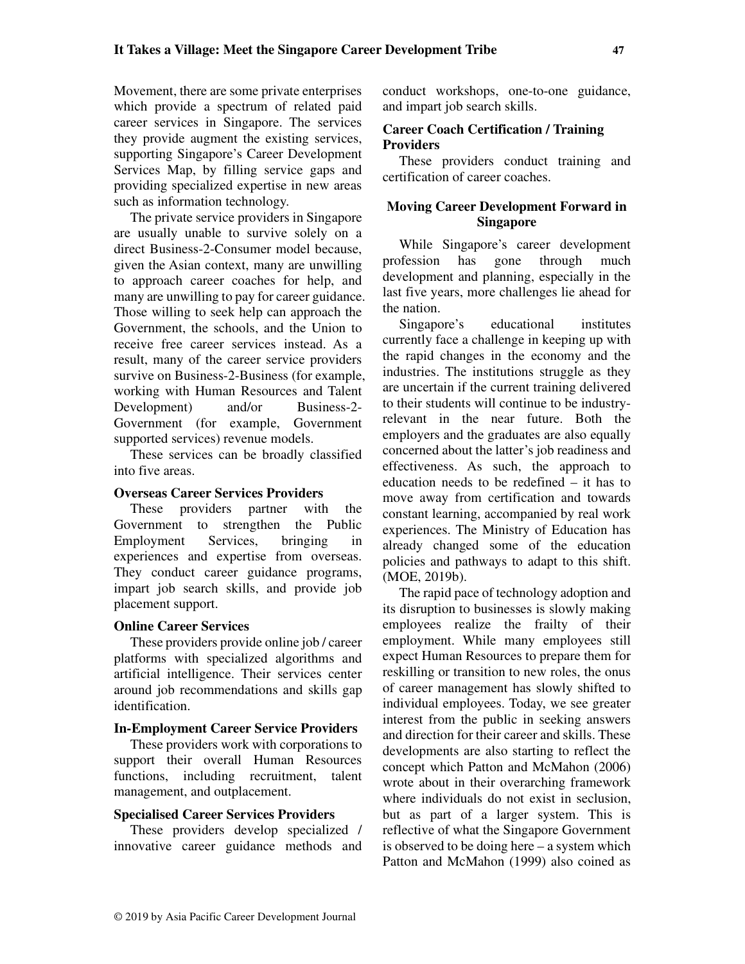Movement, there are some private enterprises which provide a spectrum of related paid career services in Singapore. The services they provide augment the existing services, supporting Singapore's Career Development Services Map, by filling service gaps and providing specialized expertise in new areas such as information technology.

The private service providers in Singapore are usually unable to survive solely on a direct Business-2-Consumer model because, given the Asian context, many are unwilling to approach career coaches for help, and many are unwilling to pay for career guidance. Those willing to seek help can approach the Government, the schools, and the Union to receive free career services instead. As a result, many of the career service providers survive on Business-2-Business (for example, working with Human Resources and Talent Development) and/or Business-2- Government (for example, Government supported services) revenue models.

These services can be broadly classified into five areas.

#### **Overseas Career Services Providers**

These providers partner with the Government to strengthen the Public Employment Services, bringing in experiences and expertise from overseas. They conduct career guidance programs, impart job search skills, and provide job placement support.

## **Online Career Services**

These providers provide online job / career platforms with specialized algorithms and artificial intelligence. Their services center around job recommendations and skills gap identification.

#### **In-Employment Career Service Providers**

These providers work with corporations to support their overall Human Resources functions, including recruitment, talent management, and outplacement.

#### **Specialised Career Services Providers**

These providers develop specialized / innovative career guidance methods and conduct workshops, one-to-one guidance, and impart job search skills.

## **Career Coach Certification / Training Providers**

These providers conduct training and certification of career coaches.

# **Moving Career Development Forward in Singapore**

While Singapore's career development profession has gone through much development and planning, especially in the last five years, more challenges lie ahead for the nation.

Singapore's educational institutes currently face a challenge in keeping up with the rapid changes in the economy and the industries. The institutions struggle as they are uncertain if the current training delivered to their students will continue to be industryrelevant in the near future. Both the employers and the graduates are also equally concerned about the latter's job readiness and effectiveness. As such, the approach to education needs to be redefined – it has to move away from certification and towards constant learning, accompanied by real work experiences. The Ministry of Education has already changed some of the education policies and pathways to adapt to this shift. (MOE, 2019b).

The rapid pace of technology adoption and its disruption to businesses is slowly making employees realize the frailty of their employment. While many employees still expect Human Resources to prepare them for reskilling or transition to new roles, the onus of career management has slowly shifted to individual employees. Today, we see greater interest from the public in seeking answers and direction for their career and skills. These developments are also starting to reflect the concept which Patton and McMahon (2006) wrote about in their overarching framework where individuals do not exist in seclusion, but as part of a larger system. This is reflective of what the Singapore Government is observed to be doing here – a system which Patton and McMahon (1999) also coined as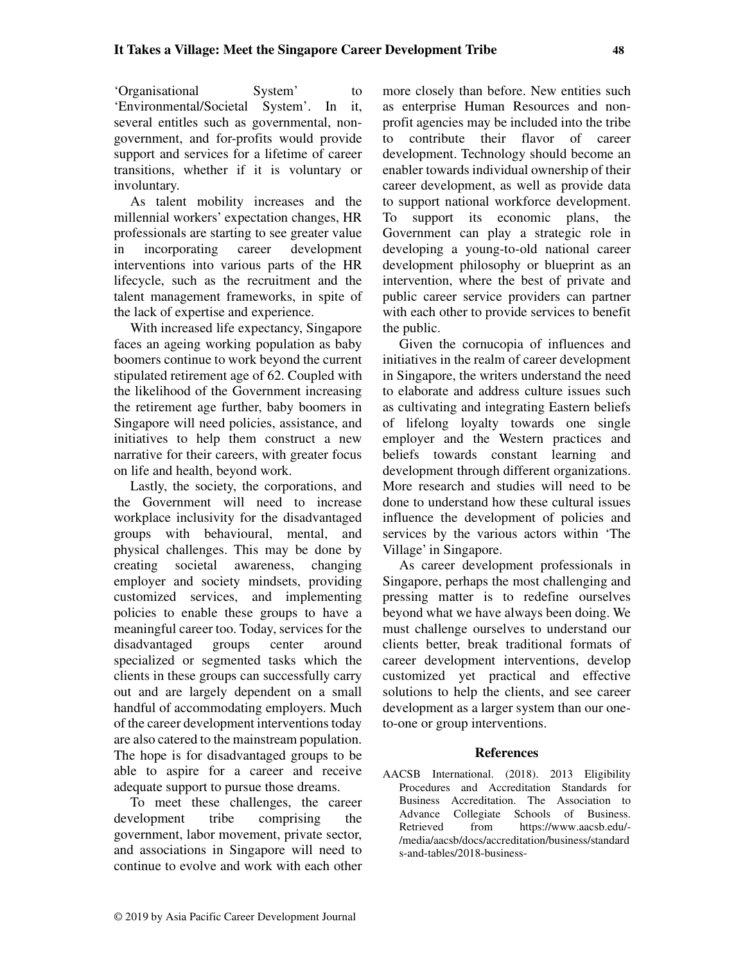'Organisational System' to 'Environmental/Societal System'. In it, several entitles such as governmental, nongovernment, and for-profits would provide support and services for a lifetime of career transitions, whether if it is voluntary or involuntary.

As talent mobility increases and the millennial workers' expectation changes, HR professionals are starting to see greater value in incorporating career development interventions into various parts of the HR lifecycle, such as the recruitment and the talent management frameworks, in spite of the lack of expertise and experience.

With increased life expectancy, Singapore faces an ageing working population as baby boomers continue to work beyond the current stipulated retirement age of 62. Coupled with the likelihood of the Government increasing the retirement age further, baby boomers in Singapore will need policies, assistance, and initiatives to help them construct a new narrative for their careers, with greater focus on life and health, beyond work.

Lastly, the society, the corporations, and the Government will need to increase workplace inclusivity for the disadvantaged groups with behavioural, mental, and physical challenges. This may be done by creating societal awareness, changing employer and society mindsets, providing customized services, and implementing policies to enable these groups to have a meaningful career too. Today, services for the disadvantaged groups center around specialized or segmented tasks which the clients in these groups can successfully carry out and are largely dependent on a small handful of accommodating employers. Much of the career development interventions today are also catered to the mainstream population. The hope is for disadvantaged groups to be able to aspire for a career and receive adequate support to pursue those dreams.

To meet these challenges, the career development tribe comprising the government, labor movement, private sector, and associations in Singapore will need to continue to evolve and work with each other

more closely than before. New entities such as enterprise Human Resources and nonprofit agencies may be included into the tribe to contribute their flavor of career development. Technology should become an enabler towards individual ownership of their career development, as well as provide data to support national workforce development. To support its economic plans, the Government can play a strategic role in developing a young-to-old national career development philosophy or blueprint as an intervention, where the best of private and public career service providers can partner with each other to provide services to benefit the public.

Given the cornucopia of influences and initiatives in the realm of career development in Singapore, the writers understand the need to elaborate and address culture issues such as cultivating and integrating Eastern beliefs of lifelong loyalty towards one single employer and the Western practices and beliefs towards constant learning and development through different organizations. More research and studies will need to be done to understand how these cultural issues influence the development of policies and services by the various actors within 'The Village' in Singapore.

As career development professionals in Singapore, perhaps the most challenging and pressing matter is to redefine ourselves beyond what we have always been doing. We must challenge ourselves to understand our clients better, break traditional formats of career development interventions, develop customized yet practical and effective solutions to help the clients, and see career development as a larger system than our oneto-one or group interventions.

## **References**

AACSB International. (2018). 2013 Eligibility Procedures and Accreditation Standards for Business Accreditation. The Association to Advance Collegiate Schools of Business. Retrieved from https://www.aacsb.edu/- /media/aacsb/docs/accreditation/business/standard s-and-tables/2018-business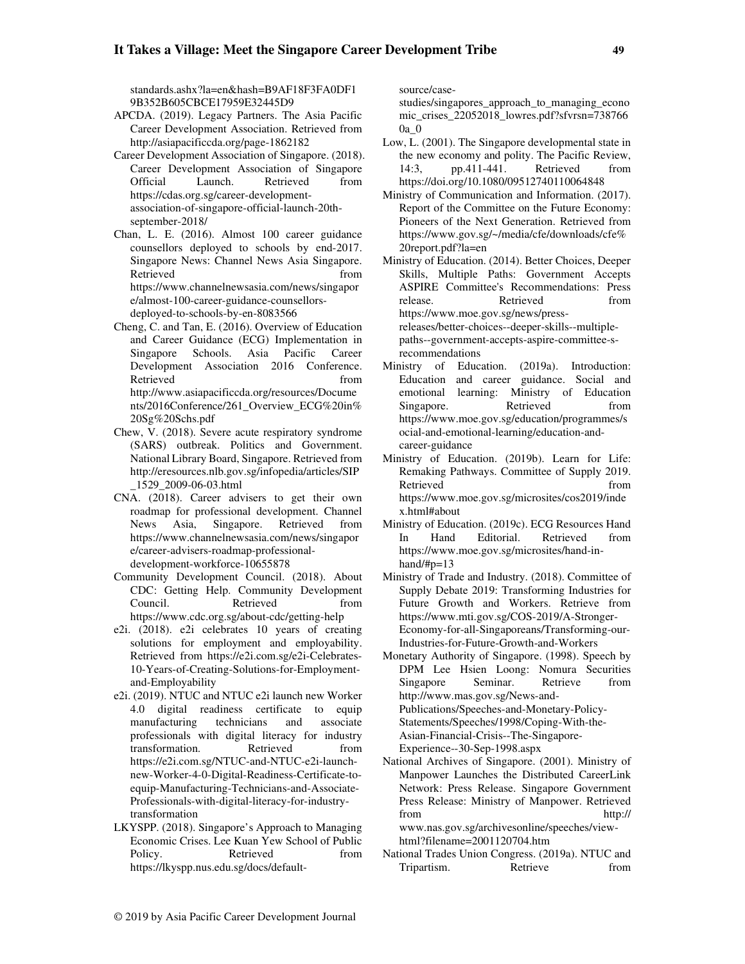standards.ashx?la=en&hash=B9AF18F3FA0DF1 9B352B605CBCE17959E32445D9

- APCDA. (2019). Legacy Partners. The Asia Pacific Career Development Association. Retrieved from http://asiapacificcda.org/page-1862182
- Career Development Association of Singapore. (2018). Career Development Association of Singapore Official Launch. Retrieved from https://cdas.org.sg/career-developmentassociation-of-singapore-official-launch-20thseptember-2018/
- Chan, L. E. (2016). Almost 100 career guidance counsellors deployed to schools by end-2017. Singapore News: Channel News Asia Singapore. Retrieved from  $\sim$ https://www.channelnewsasia.com/news/singapor e/almost-100-career-guidance-counsellorsdeployed-to-schools-by-en-8083566
- Cheng, C. and Tan, E. (2016). Overview of Education and Career Guidance (ECG) Implementation in Singapore Schools. Asia Pacific Career Development Association 2016 Conference. Retrieved from  $\sim$ http://www.asiapacificcda.org/resources/Docume nts/2016Conference/261\_Overview\_ECG%20in% 20Sg%20Schs.pdf
- Chew, V. (2018). Severe acute respiratory syndrome (SARS) outbreak. Politics and Government. National Library Board, Singapore. Retrieved from http://eresources.nlb.gov.sg/infopedia/articles/SIP \_1529\_2009-06-03.html
- CNA. (2018). Career advisers to get their own roadmap for professional development. Channel News Asia, Singapore. Retrieved from https://www.channelnewsasia.com/news/singapor e/career-advisers-roadmap-professionaldevelopment-workforce-10655878
- Community Development Council. (2018). About CDC: Getting Help. Community Development Council. Retrieved from https://www.cdc.org.sg/about-cdc/getting-help
- e2i. (2018). e2i celebrates 10 years of creating solutions for employment and employability. Retrieved from https://e2i.com.sg/e2i-Celebrates-10-Years-of-Creating-Solutions-for-Employmentand-Employability
- e2i. (2019). NTUC and NTUC e2i launch new Worker 4.0 digital readiness certificate to equip manufacturing technicians and associate professionals with digital literacy for industry transformation. Retrieved from https://e2i.com.sg/NTUC-and-NTUC-e2i-launchnew-Worker-4-0-Digital-Readiness-Certificate-toequip-Manufacturing-Technicians-and-Associate-Professionals-with-digital-literacy-for-industrytransformation
- LKYSPP. (2018). Singapore's Approach to Managing Economic Crises. Lee Kuan Yew School of Public Policy. Retrieved from https://lkyspp.nus.edu.sg/docs/default-

source/case-

studies/singapores\_approach\_to\_managing\_econo mic\_crises\_22052018\_lowres.pdf?sfvrsn=738766 0a\_0

- Low, L. (2001). The Singapore developmental state in the new economy and polity. The Pacific Review, 14:3, pp.411-441. Retrieved from https://doi.org/10.1080/09512740110064848
- Ministry of Communication and Information. (2017). Report of the Committee on the Future Economy: Pioneers of the Next Generation. Retrieved from https://www.gov.sg/~/media/cfe/downloads/cfe% 20report.pdf?la=en
- Ministry of Education. (2014). Better Choices, Deeper Skills, Multiple Paths: Government Accepts ASPIRE Committee's Recommendations: Press release. Retrieved from https://www.moe.gov.sg/news/pressreleases/better-choices--deeper-skills--multiplepaths--government-accepts-aspire-committee-srecommendations
- Ministry of Education. (2019a). Introduction: Education and career guidance. Social and emotional learning: Ministry of Education Singapore. Retrieved from https://www.moe.gov.sg/education/programmes/s ocial-and-emotional-learning/education-andcareer-guidance
- Ministry of Education. (2019b). Learn for Life: Remaking Pathways. Committee of Supply 2019. Retrieved from  $\blacksquare$ https://www.moe.gov.sg/microsites/cos2019/inde x.html#about
- Ministry of Education. (2019c). ECG Resources Hand In Hand Editorial. Retrieved from https://www.moe.gov.sg/microsites/hand-inhand/#p=13
- Ministry of Trade and Industry. (2018). Committee of Supply Debate 2019: Transforming Industries for Future Growth and Workers. Retrieve from https://www.mti.gov.sg/COS-2019/A-Stronger-Economy-for-all-Singaporeans/Transforming-our-Industries-for-Future-Growth-and-Workers
- Monetary Authority of Singapore. (1998). Speech by DPM Lee Hsien Loong: Nomura Securities Singapore Seminar. Retrieve from http://www.mas.gov.sg/News-and-Publications/Speeches-and-Monetary-Policy-Statements/Speeches/1998/Coping-With-the-Asian-Financial-Crisis--The-Singapore-Experience--30-Sep-1998.aspx
- National Archives of Singapore. (2001). Ministry of Manpower Launches the Distributed CareerLink Network: Press Release. Singapore Government Press Release: Ministry of Manpower. Retrieved from http:// www.nas.gov.sg/archivesonline/speeches/view-

html?filename=2001120704.htm

National Trades Union Congress. (2019a). NTUC and Tripartism. Retrieve from